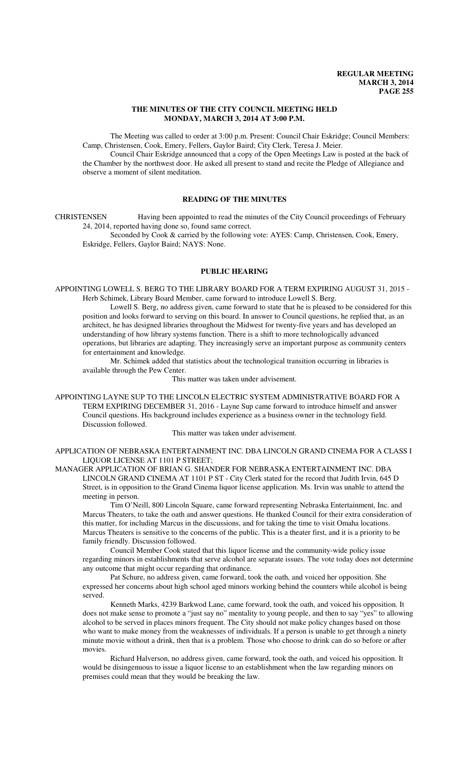## **THE MINUTES OF THE CITY COUNCIL MEETING HELD MONDAY, MARCH 3, 2014 AT 3:00 P.M.**

The Meeting was called to order at 3:00 p.m. Present: Council Chair Eskridge; Council Members: Camp, Christensen, Cook, Emery, Fellers, Gaylor Baird; City Clerk, Teresa J. Meier.

Council Chair Eskridge announced that a copy of the Open Meetings Law is posted at the back of the Chamber by the northwest door. He asked all present to stand and recite the Pledge of Allegiance and observe a moment of silent meditation.

# **READING OF THE MINUTES**

CHRISTENSEN Having been appointed to read the minutes of the City Council proceedings of February 24, 2014, reported having done so, found same correct.

Seconded by Cook & carried by the following vote: AYES: Camp, Christensen, Cook, Emery, Eskridge, Fellers, Gaylor Baird; NAYS: None.

# **PUBLIC HEARING**

APPOINTING LOWELL S. BERG TO THE LIBRARY BOARD FOR A TERM EXPIRING AUGUST 31, 2015 - Herb Schimek, Library Board Member, came forward to introduce Lowell S. Berg.

Lowell S. Berg, no address given, came forward to state that he is pleased to be considered for this position and looks forward to serving on this board. In answer to Council questions, he replied that, as an architect, he has designed libraries throughout the Midwest for twenty-five years and has developed an understanding of how library systems function. There is a shift to more technologically advanced operations, but libraries are adapting. They increasingly serve an important purpose as community centers for entertainment and knowledge.

Mr. Schimek added that statistics about the technological transition occurring in libraries is available through the Pew Center.

This matter was taken under advisement.

APPOINTING LAYNE SUP TO THE LINCOLN ELECTRIC SYSTEM ADMINISTRATIVE BOARD FOR A TERM EXPIRING DECEMBER 31, 2016 - Layne Sup came forward to introduce himself and answer Council questions. His background includes experience as a business owner in the technology field. Discussion followed.

This matter was taken under advisement.

APPLICATION OF NEBRASKA ENTERTAINMENT INC. DBA LINCOLN GRAND CINEMA FOR A CLASS I LIQUOR LICENSE AT 1101 P STREET;

MANAGER APPLICATION OF BRIAN G. SHANDER FOR NEBRASKA ENTERTAINMENT INC. DBA LINCOLN GRAND CINEMA AT 1101 P ST - City Clerk stated for the record that Judith Irvin, 645 D Street, is in opposition to the Grand Cinema liquor license application. Ms. Irvin was unable to attend the meeting in person.

Tim O'Neill, 800 Lincoln Square, came forward representing Nebraska Entertainment, Inc. and Marcus Theaters, to take the oath and answer questions. He thanked Council for their extra consideration of this matter, for including Marcus in the discussions, and for taking the time to visit Omaha locations. Marcus Theaters is sensitive to the concerns of the public. This is a theater first, and it is a priority to be family friendly. Discussion followed.

Council Member Cook stated that this liquor license and the community-wide policy issue regarding minors in establishments that serve alcohol are separate issues. The vote today does not determine any outcome that might occur regarding that ordinance.

Pat Schure, no address given, came forward, took the oath, and voiced her opposition. She expressed her concerns about high school aged minors working behind the counters while alcohol is being served.

Kenneth Marks, 4239 Barkwod Lane, came forward, took the oath, and voiced his opposition. It does not make sense to promote a "just say no" mentality to young people, and then to say "yes" to allowing alcohol to be served in places minors frequent. The City should not make policy changes based on those who want to make money from the weaknesses of individuals. If a person is unable to get through a ninety minute movie without a drink, then that is a problem. Those who choose to drink can do so before or after movies.

Richard Halverson, no address given, came forward, took the oath, and voiced his opposition. It would be disingenuous to issue a liquor license to an establishment when the law regarding minors on premises could mean that they would be breaking the law.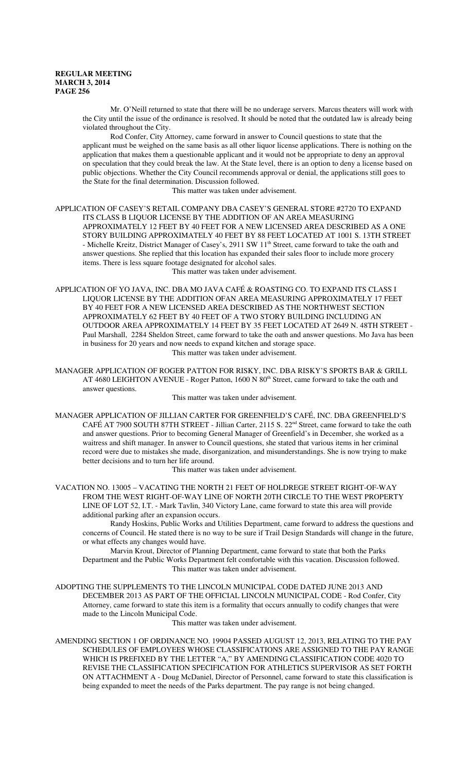Mr. O'Neill returned to state that there will be no underage servers. Marcus theaters will work with the City until the issue of the ordinance is resolved. It should be noted that the outdated law is already being violated throughout the City.

Rod Confer, City Attorney, came forward in answer to Council questions to state that the applicant must be weighed on the same basis as all other liquor license applications. There is nothing on the application that makes them a questionable applicant and it would not be appropriate to deny an approval on speculation that they could break the law. At the State level, there is an option to deny a license based on public objections. Whether the City Council recommends approval or denial, the applications still goes to the State for the final determination. Discussion followed.

This matter was taken under advisement.

APPLICATION OF CASEY'S RETAIL COMPANY DBA CASEY'S GENERAL STORE #2720 TO EXPAND ITS CLASS B LIQUOR LICENSE BY THE ADDITION OF AN AREA MEASURING APPROXIMATELY 12 FEET BY 40 FEET FOR A NEW LICENSED AREA DESCRIBED AS A ONE STORY BUILDING APPROXIMATELY 40 FEET BY 88 FEET LOCATED AT 1001 S. 13TH STREET - Michelle Kreitz, District Manager of Casey's, 2911 SW 11<sup>th</sup> Street, came forward to take the oath and answer questions. She replied that this location has expanded their sales floor to include more grocery items. There is less square footage designated for alcohol sales.

This matter was taken under advisement.

- APPLICATION OF YO JAVA, INC. DBA MO JAVA CAFÉ & ROASTING CO. TO EXPAND ITS CLASS I LIQUOR LICENSE BY THE ADDITION OFAN AREA MEASURING APPROXIMATELY 17 FEET BY 40 FEET FOR A NEW LICENSED AREA DESCRIBED AS THE NORTHWEST SECTION APPROXIMATELY 62 FEET BY 40 FEET OF A TWO STORY BUILDING INCLUDING AN OUTDOOR AREA APPROXIMATELY 14 FEET BY 35 FEET LOCATED AT 2649 N. 48TH STREET - Paul Marshall, 2284 Sheldon Street, came forward to take the oath and answer questions. Mo Java has been in business for 20 years and now needs to expand kitchen and storage space. This matter was taken under advisement.
- MANAGER APPLICATION OF ROGER PATTON FOR RISKY, INC. DBA RISKY'S SPORTS BAR & GRILL AT 4680 LEIGHTON AVENUE - Roger Patton, 1600 N 80<sup>th</sup> Street, came forward to take the oath and answer questions.

This matter was taken under advisement.

MANAGER APPLICATION OF JILLIAN CARTER FOR GREENFIELD'S CAFÉ, INC. DBA GREENFIELD'S CAFÉ AT 7900 SOUTH 87TH STREET - Jillian Carter, 2115 S.  $22<sup>nd</sup>$  Street, came forward to take the oath and answer questions. Prior to becoming General Manager of Greenfield's in December, she worked as a waitress and shift manager. In answer to Council questions, she stated that various items in her criminal record were due to mistakes she made, disorganization, and misunderstandings. She is now trying to make better decisions and to turn her life around.

This matter was taken under advisement.

VACATION NO. 13005 – VACATING THE NORTH 21 FEET OF HOLDREGE STREET RIGHT-OF-WAY FROM THE WEST RIGHT-OF-WAY LINE OF NORTH 20TH CIRCLE TO THE WEST PROPERTY LINE OF LOT 52, I.T. - Mark Tavlin, 340 Victory Lane, came forward to state this area will provide additional parking after an expansion occurs.

Randy Hoskins, Public Works and Utilities Department, came forward to address the questions and concerns of Council. He stated there is no way to be sure if Trail Design Standards will change in the future, or what effects any changes would have.

Marvin Krout, Director of Planning Department, came forward to state that both the Parks Department and the Public Works Department felt comfortable with this vacation. Discussion followed. This matter was taken under advisement.

ADOPTING THE SUPPLEMENTS TO THE LINCOLN MUNICIPAL CODE DATED JUNE 2013 AND DECEMBER 2013 AS PART OF THE OFFICIAL LINCOLN MUNICIPAL CODE - Rod Confer, City Attorney, came forward to state this item is a formality that occurs annually to codify changes that were made to the Lincoln Municipal Code.

This matter was taken under advisement.

AMENDING SECTION 1 OF ORDINANCE NO. 19904 PASSED AUGUST 12, 2013, RELATING TO THE PAY SCHEDULES OF EMPLOYEES WHOSE CLASSIFICATIONS ARE ASSIGNED TO THE PAY RANGE WHICH IS PREFIXED BY THE LETTER "A," BY AMENDING CLASSIFICATION CODE 4020 TO REVISE THE CLASSIFICATION SPECIFICATION FOR ATHLETICS SUPERVISOR AS SET FORTH ON ATTACHMENT A - Doug McDaniel, Director of Personnel, came forward to state this classification is being expanded to meet the needs of the Parks department. The pay range is not being changed.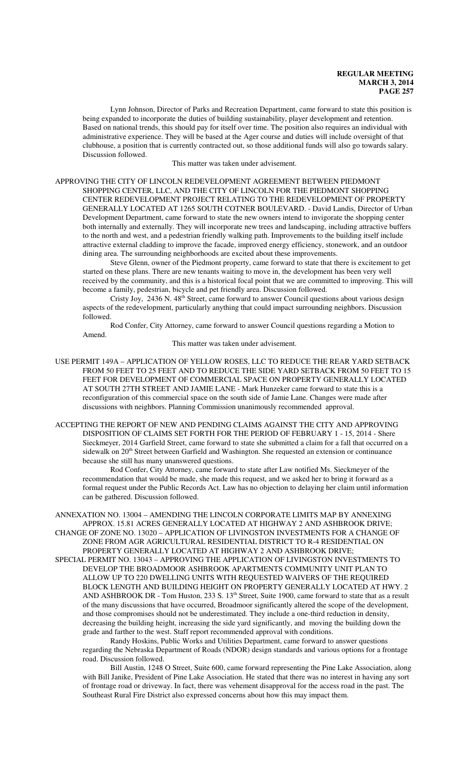Lynn Johnson, Director of Parks and Recreation Department, came forward to state this position is being expanded to incorporate the duties of building sustainability, player development and retention. Based on national trends, this should pay for itself over time. The position also requires an individual with administrative experience. They will be based at the Ager course and duties will include oversight of that clubhouse, a position that is currently contracted out, so those additional funds will also go towards salary. Discussion followed.

This matter was taken under advisement.

APPROVING THE CITY OF LINCOLN REDEVELOPMENT AGREEMENT BETWEEN PIEDMONT SHOPPING CENTER, LLC, AND THE CITY OF LINCOLN FOR THE PIEDMONT SHOPPING CENTER REDEVELOPMENT PROJECT RELATING TO THE REDEVELOPMENT OF PROPERTY GENERALLY LOCATED AT 1265 SOUTH COTNER BOULEVARD. - David Landis, Director of Urban Development Department, came forward to state the new owners intend to invigorate the shopping center both internally and externally. They will incorporate new trees and landscaping, including attractive buffers to the north and west, and a pedestrian friendly walking path. Improvements to the building itself include attractive external cladding to improve the facade, improved energy efficiency, stonework, and an outdoor dining area. The surrounding neighborhoods are excited about these improvements.

Steve Glenn, owner of the Piedmont property, came forward to state that there is excitement to get started on these plans. There are new tenants waiting to move in, the development has been very well received by the community, and this is a historical focal point that we are committed to improving. This will become a family, pedestrian, bicycle and pet friendly area. Discussion followed.

Cristy Joy, 2436 N. 48<sup>th</sup> Street, came forward to answer Council questions about various design aspects of the redevelopment, particularly anything that could impact surrounding neighbors. Discussion followed.

Rod Confer, City Attorney, came forward to answer Council questions regarding a Motion to Amend.

This matter was taken under advisement.

- USE PERMIT 149A APPLICATION OF YELLOW ROSES, LLC TO REDUCE THE REAR YARD SETBACK FROM 50 FEET TO 25 FEET AND TO REDUCE THE SIDE YARD SETBACK FROM 50 FEET TO 15 FEET FOR DEVELOPMENT OF COMMERCIAL SPACE ON PROPERTY GENERALLY LOCATED AT SOUTH 27TH STREET AND JAMIE LANE - Mark Hunzeker came forward to state this is a reconfiguration of this commercial space on the south side of Jamie Lane. Changes were made after discussions with neighbors. Planning Commission unanimously recommended approval.
- ACCEPTING THE REPORT OF NEW AND PENDING CLAIMS AGAINST THE CITY AND APPROVING DISPOSITION OF CLAIMS SET FORTH FOR THE PERIOD OF FEBRUARY 1 - 15, 2014 - Shere Sieckmeyer, 2014 Garfield Street, came forward to state she submitted a claim for a fall that occurred on a sidewalk on 20<sup>th</sup> Street between Garfield and Washington. She requested an extension or continuance because she still has many unanswered questions.

Rod Confer, City Attorney, came forward to state after Law notified Ms. Sieckmeyer of the recommendation that would be made, she made this request, and we asked her to bring it forward as a formal request under the Public Records Act. Law has no objection to delaying her claim until information can be gathered. Discussion followed.

ANNEXATION NO. 13004 – AMENDING THE LINCOLN CORPORATE LIMITS MAP BY ANNEXING APPROX. 15.81 ACRES GENERALLY LOCATED AT HIGHWAY 2 AND ASHBROOK DRIVE; CHANGE OF ZONE NO. 13020 – APPLICATION OF LIVINGSTON INVESTMENTS FOR A CHANGE OF ZONE FROM AGR AGRICULTURAL RESIDENTIAL DISTRICT TO R-4 RESIDENTIAL ON PROPERTY GENERALLY LOCATED AT HIGHWAY 2 AND ASHBROOK DRIVE;

SPECIAL PERMIT NO. 13043 – APPROVING THE APPLICATION OF LIVINGSTON INVESTMENTS TO DEVELOP THE BROADMOOR ASHBROOK APARTMENTS COMMUNITY UNIT PLAN TO ALLOW UP TO 220 DWELLING UNITS WITH REQUESTED WAIVERS OF THE REQUIRED BLOCK LENGTH AND BUILDING HEIGHT ON PROPERTY GENERALLY LOCATED AT HWY. 2 AND ASHBROOK DR - Tom Huston, 233 S. 13<sup>th</sup> Street, Suite 1900, came forward to state that as a result of the many discussions that have occurred, Broadmoor significantly altered the scope of the development, and those compromises should not be underestimated. They include a one-third reduction in density, decreasing the building height, increasing the side yard significantly, and moving the building down the grade and farther to the west. Staff report recommended approval with conditions.

Randy Hoskins, Public Works and Utilities Department, came forward to answer questions regarding the Nebraska Department of Roads (NDOR) design standards and various options for a frontage road. Discussion followed.

Bill Austin, 1248 O Street, Suite 600, came forward representing the Pine Lake Association, along with Bill Janike, President of Pine Lake Association. He stated that there was no interest in having any sort of frontage road or driveway. In fact, there was vehement disapproval for the access road in the past. The Southeast Rural Fire District also expressed concerns about how this may impact them.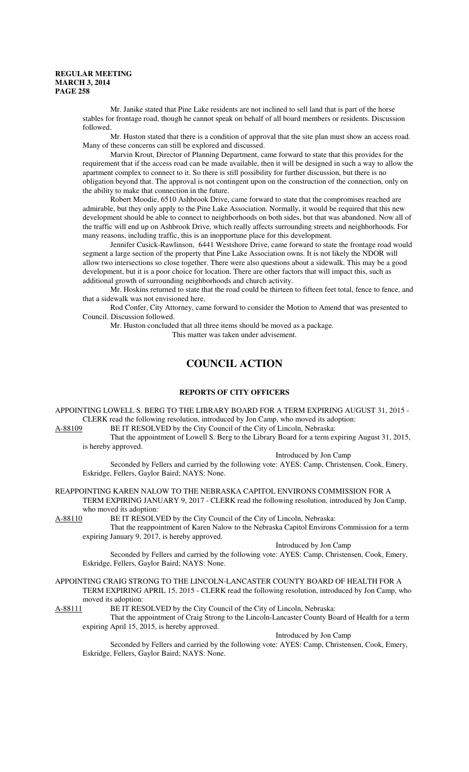Mr. Janike stated that Pine Lake residents are not inclined to sell land that is part of the horse stables for frontage road, though he cannot speak on behalf of all board members or residents. Discussion followed.

Mr. Huston stated that there is a condition of approval that the site plan must show an access road. Many of these concerns can still be explored and discussed.

Marvin Krout, Director of Planning Department, came forward to state that this provides for the requirement that if the access road can be made available, then it will be designed in such a way to allow the apartment complex to connect to it. So there is still possibility for further discussion, but there is no obligation beyond that. The approval is not contingent upon on the construction of the connection, only on the ability to make that connection in the future.

Robert Moodie, 6510 Ashbrook Drive, came forward to state that the compromises reached are admirable, but they only apply to the Pine Lake Association. Normally, it would be required that this new development should be able to connect to neighborhoods on both sides, but that was abandoned. Now all of the traffic will end up on Ashbrook Drive, which really affects surrounding streets and neighborhoods. For many reasons, including traffic, this is an inopportune place for this development.

Jennifer Cusick-Rawlinson, 6441 Westshore Drive, came forward to state the frontage road would segment a large section of the property that Pine Lake Association owns. It is not likely the NDOR will allow two intersections so close together. There were also questions about a sidewalk. This may be a good development, but it is a poor choice for location. There are other factors that will impact this, such as additional growth of surrounding neighborhoods and church activity.

Mr. Hoskins returned to state that the road could be thirteen to fifteen feet total, fence to fence, and that a sidewalk was not envisioned here.

Rod Confer, City Attorney, came forward to consider the Motion to Amend that was presented to Council. Discussion followed.

Mr. Huston concluded that all three items should be moved as a package.

This matter was taken under advisement.

# **COUNCIL ACTION**

# **REPORTS OF CITY OFFICERS**

APPOINTING LOWELL S. BERG TO THE LIBRARY BOARD FOR A TERM EXPIRING AUGUST 31, 2015 - CLERK read the following resolution, introduced by Jon Camp, who moved its adoption:

A-88109 BE IT RESOLVED by the City Council of the City of Lincoln, Nebraska:

That the appointment of Lowell S. Berg to the Library Board for a term expiring August 31, 2015, is hereby approved.

Introduced by Jon Camp

Seconded by Fellers and carried by the following vote: AYES: Camp, Christensen, Cook, Emery, Eskridge, Fellers, Gaylor Baird; NAYS: None.

REAPPOINTING KAREN NALOW TO THE NEBRASKA CAPITOL ENVIRONS COMMISSION FOR A TERM EXPIRING JANUARY 9, 2017 - CLERK read the following resolution, introduced by Jon Camp, who moved its adoption:

A-88110 BE IT RESOLVED by the City Council of the City of Lincoln, Nebraska:

That the reappointment of Karen Nalow to the Nebraska Capitol Environs Commission for a term expiring January 9, 2017, is hereby approved.

Introduced by Jon Camp

Seconded by Fellers and carried by the following vote: AYES: Camp, Christensen, Cook, Emery, Eskridge, Fellers, Gaylor Baird; NAYS: None.

APPOINTING CRAIG STRONG TO THE LINCOLN-LANCASTER COUNTY BOARD OF HEALTH FOR A TERM EXPIRING APRIL 15, 2015 - CLERK read the following resolution, introduced by Jon Camp, who moved its adoption:

A-88111 BE IT RESOLVED by the City Council of the City of Lincoln, Nebraska:

That the appointment of Craig Strong to the Lincoln-Lancaster County Board of Health for a term expiring April 15, 2015, is hereby approved.

Introduced by Jon Camp

Seconded by Fellers and carried by the following vote: AYES: Camp, Christensen, Cook, Emery, Eskridge, Fellers, Gaylor Baird; NAYS: None.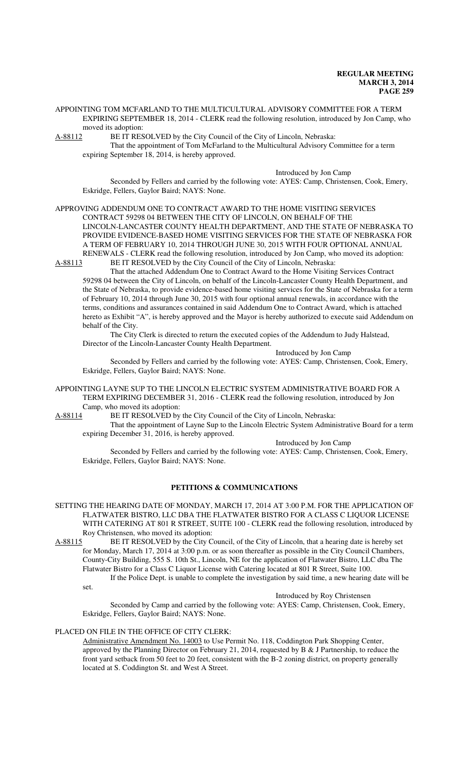APPOINTING TOM MCFARLAND TO THE MULTICULTURAL ADVISORY COMMITTEE FOR A TERM EXPIRING SEPTEMBER 18, 2014 - CLERK read the following resolution, introduced by Jon Camp, who moved its adoption:

A-88112 BE IT RESOLVED by the City Council of the City of Lincoln, Nebraska:

That the appointment of Tom McFarland to the Multicultural Advisory Committee for a term expiring September 18, 2014, is hereby approved.

#### Introduced by Jon Camp

Seconded by Fellers and carried by the following vote: AYES: Camp, Christensen, Cook, Emery, Eskridge, Fellers, Gaylor Baird; NAYS: None.

# APPROVING ADDENDUM ONE TO CONTRACT AWARD TO THE HOME VISITING SERVICES

CONTRACT 59298 04 BETWEEN THE CITY OF LINCOLN, ON BEHALF OF THE LINCOLN-LANCASTER COUNTY HEALTH DEPARTMENT, AND THE STATE OF NEBRASKA TO PROVIDE EVIDENCE-BASED HOME VISITING SERVICES FOR THE STATE OF NEBRASKA FOR A TERM OF FEBRUARY 10, 2014 THROUGH JUNE 30, 2015 WITH FOUR OPTIONAL ANNUAL RENEWALS - CLERK read the following resolution, introduced by Jon Camp, who moved its adoption: A-88113 BE IT RESOLVED by the City Council of the City of Lincoln, Nebraska:

That the attached Addendum One to Contract Award to the Home Visiting Services Contract 59298 04 between the City of Lincoln, on behalf of the Lincoln-Lancaster County Health Department, and the State of Nebraska, to provide evidence-based home visiting services for the State of Nebraska for a term of February 10, 2014 through June 30, 2015 with four optional annual renewals, in accordance with the terms, conditions and assurances contained in said Addendum One to Contract Award, which is attached hereto as Exhibit "A", is hereby approved and the Mayor is hereby authorized to execute said Addendum on behalf of the City.

The City Clerk is directed to return the executed copies of the Addendum to Judy Halstead, Director of the Lincoln-Lancaster County Health Department.

Introduced by Jon Camp

Seconded by Fellers and carried by the following vote: AYES: Camp, Christensen, Cook, Emery, Eskridge, Fellers, Gaylor Baird; NAYS: None.

APPOINTING LAYNE SUP TO THE LINCOLN ELECTRIC SYSTEM ADMINISTRATIVE BOARD FOR A TERM EXPIRING DECEMBER 31, 2016 - CLERK read the following resolution, introduced by Jon Camp, who moved its adoption:

A-88114 BE IT RESOLVED by the City Council of the City of Lincoln, Nebraska: That the appointment of Layne Sup to the Lincoln Electric System Administrative Board for a term

expiring December 31, 2016, is hereby approved.

Introduced by Jon Camp

Seconded by Fellers and carried by the following vote: AYES: Camp, Christensen, Cook, Emery, Eskridge, Fellers, Gaylor Baird; NAYS: None.

## **PETITIONS & COMMUNICATIONS**

SETTING THE HEARING DATE OF MONDAY, MARCH 17, 2014 AT 3:00 P.M. FOR THE APPLICATION OF FLATWATER BISTRO, LLC DBA THE FLATWATER BISTRO FOR A CLASS C LIQUOR LICENSE WITH CATERING AT 801 R STREET, SUITE 100 - CLERK read the following resolution, introduced by Roy Christensen, who moved its adoption:

A-88115 BE IT RESOLVED by the City Council, of the City of Lincoln, that a hearing date is hereby set for Monday, March 17, 2014 at 3:00 p.m. or as soon thereafter as possible in the City Council Chambers, County-City Building, 555 S. 10th St., Lincoln, NE for the application of Flatwater Bistro, LLC dba The Flatwater Bistro for a Class C Liquor License with Catering located at 801 R Street, Suite 100. If the Police Dept. is unable to complete the investigation by said time, a new hearing date will be

set.

#### Introduced by Roy Christensen

Seconded by Camp and carried by the following vote: AYES: Camp, Christensen, Cook, Emery, Eskridge, Fellers, Gaylor Baird; NAYS: None.

#### PLACED ON FILE IN THE OFFICE OF CITY CLERK:

Administrative Amendment No. 14003 to Use Permit No. 118, Coddington Park Shopping Center, approved by the Planning Director on February 21, 2014, requested by B & J Partnership, to reduce the front yard setback from 50 feet to 20 feet, consistent with the B-2 zoning district, on property generally located at S. Coddington St. and West A Street.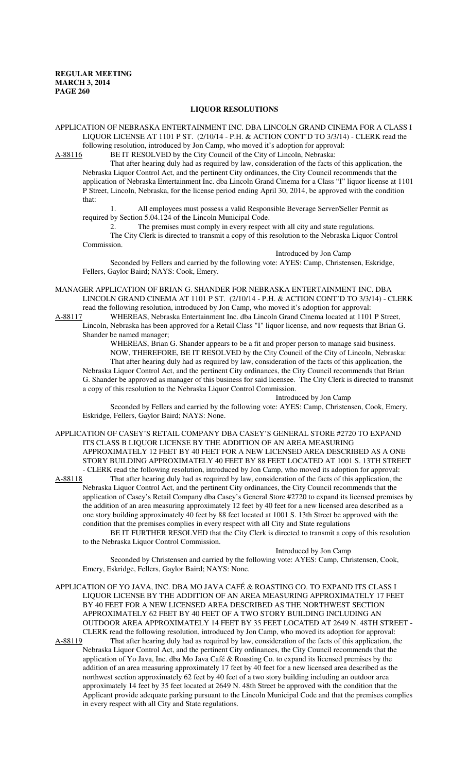#### **LIQUOR RESOLUTIONS**

APPLICATION OF NEBRASKA ENTERTAINMENT INC. DBA LINCOLN GRAND CINEMA FOR A CLASS I LIQUOR LICENSE AT 1101 P ST. (2/10/14 - P.H. & ACTION CONT'D TO 3/3/14) - CLERK read the

following resolution, introduced by Jon Camp, who moved it's adoption for approval:<br>A-88116 BE IT RESOLVED by the City Council of the City of Lincoln, Nebraska: BE IT RESOLVED by the City Council of the City of Lincoln, Nebraska:

That after hearing duly had as required by law, consideration of the facts of this application, the Nebraska Liquor Control Act, and the pertinent City ordinances, the City Council recommends that the application of Nebraska Entertainment Inc. dba Lincoln Grand Cinema for a Class "I" liquor license at 1101 P Street, Lincoln, Nebraska, for the license period ending April 30, 2014, be approved with the condition that:

1. All employees must possess a valid Responsible Beverage Server/Seller Permit as required by Section 5.04.124 of the Lincoln Municipal Code.

2. The premises must comply in every respect with all city and state regulations. The City Clerk is directed to transmit a copy of this resolution to the Nebraska Liquor Control Commission.

Introduced by Jon Camp Seconded by Fellers and carried by the following vote: AYES: Camp, Christensen, Eskridge, Fellers, Gaylor Baird; NAYS: Cook, Emery.

MANAGER APPLICATION OF BRIAN G. SHANDER FOR NEBRASKA ENTERTAINMENT INC. DBA LINCOLN GRAND CINEMA AT 1101 P ST. (2/10/14 - P.H. & ACTION CONT'D TO 3/3/14) - CLERK read the following resolution, introduced by Jon Camp, who moved it's adoption for approval:

A-88117 WHEREAS, Nebraska Entertainment Inc. dba Lincoln Grand Cinema located at 1101 P Street, Lincoln, Nebraska has been approved for a Retail Class "I" liquor license, and now requests that Brian G. Shander be named manager;

WHEREAS, Brian G. Shander appears to be a fit and proper person to manage said business. NOW, THEREFORE, BE IT RESOLVED by the City Council of the City of Lincoln, Nebraska: That after hearing duly had as required by law, consideration of the facts of this application, the Nebraska Liquor Control Act, and the pertinent City ordinances, the City Council recommends that Brian G. Shander be approved as manager of this business for said licensee. The City Clerk is directed to transmit a copy of this resolution to the Nebraska Liquor Control Commission.

Introduced by Jon Camp Seconded by Fellers and carried by the following vote: AYES: Camp, Christensen, Cook, Emery, Eskridge, Fellers, Gaylor Baird; NAYS: None.

APPLICATION OF CASEY'S RETAIL COMPANY DBA CASEY'S GENERAL STORE #2720 TO EXPAND ITS CLASS B LIQUOR LICENSE BY THE ADDITION OF AN AREA MEASURING APPROXIMATELY 12 FEET BY 40 FEET FOR A NEW LICENSED AREA DESCRIBED AS A ONE STORY BUILDING APPROXIMATELY 40 FEET BY 88 FEET LOCATED AT 1001 S. 13TH STREET - CLERK read the following resolution, introduced by Jon Camp, who moved its adoption for approval:

A-88118 That after hearing duly had as required by law, consideration of the facts of this application, the Nebraska Liquor Control Act, and the pertinent City ordinances, the City Council recommends that the application of Casey's Retail Company dba Casey's General Store #2720 to expand its licensed premises by the addition of an area measuring approximately 12 feet by 40 feet for a new licensed area described as a one story building approximately 40 feet by 88 feet located at 1001 S. 13th Street be approved with the condition that the premises complies in every respect with all City and State regulations BE IT FURTHER RESOLVED that the City Clerk is directed to transmit a copy of this resolution

to the Nebraska Liquor Control Commission.

# Introduced by Jon Camp

Seconded by Christensen and carried by the following vote: AYES: Camp, Christensen, Cook, Emery, Eskridge, Fellers, Gaylor Baird; NAYS: None.

APPLICATION OF YO JAVA, INC. DBA MO JAVA CAFÉ & ROASTING CO. TO EXPAND ITS CLASS I LIQUOR LICENSE BY THE ADDITION OF AN AREA MEASURING APPROXIMATELY 17 FEET BY 40 FEET FOR A NEW LICENSED AREA DESCRIBED AS THE NORTHWEST SECTION APPROXIMATELY 62 FEET BY 40 FEET OF A TWO STORY BUILDING INCLUDING AN OUTDOOR AREA APPROXIMATELY 14 FEET BY 35 FEET LOCATED AT 2649 N. 48TH STREET - CLERK read the following resolution, introduced by Jon Camp, who moved its adoption for approval:

A-88119 That after hearing duly had as required by law, consideration of the facts of this application, the Nebraska Liquor Control Act, and the pertinent City ordinances, the City Council recommends that the application of Yo Java, Inc. dba Mo Java Café & Roasting Co. to expand its licensed premises by the addition of an area measuring approximately 17 feet by 40 feet for a new licensed area described as the northwest section approximately 62 feet by 40 feet of a two story building including an outdoor area approximately 14 feet by 35 feet located at 2649 N. 48th Street be approved with the condition that the Applicant provide adequate parking pursuant to the Lincoln Municipal Code and that the premises complies in every respect with all City and State regulations.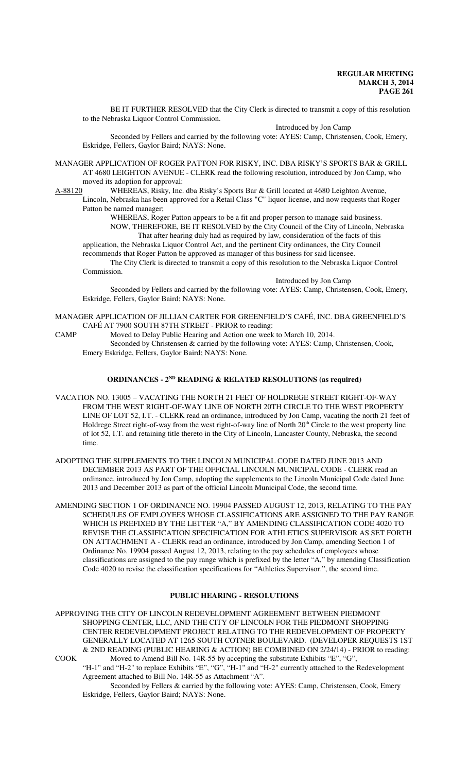BE IT FURTHER RESOLVED that the City Clerk is directed to transmit a copy of this resolution to the Nebraska Liquor Control Commission.

#### Introduced by Jon Camp

Seconded by Fellers and carried by the following vote: AYES: Camp, Christensen, Cook, Emery, Eskridge, Fellers, Gaylor Baird; NAYS: None.

MANAGER APPLICATION OF ROGER PATTON FOR RISKY, INC. DBA RISKY'S SPORTS BAR & GRILL AT 4680 LEIGHTON AVENUE - CLERK read the following resolution, introduced by Jon Camp, who moved its adoption for approval:

A-88120 WHEREAS, Risky, Inc. dba Risky's Sports Bar & Grill located at 4680 Leighton Avenue, Lincoln, Nebraska has been approved for a Retail Class "C" liquor license, and now requests that Roger

Patton be named manager;

WHEREAS, Roger Patton appears to be a fit and proper person to manage said business.

NOW, THEREFORE, BE IT RESOLVED by the City Council of the City of Lincoln, Nebraska That after hearing duly had as required by law, consideration of the facts of this

application, the Nebraska Liquor Control Act, and the pertinent City ordinances, the City Council

recommends that Roger Patton be approved as manager of this business for said licensee. The City Clerk is directed to transmit a copy of this resolution to the Nebraska Liquor Control Commission.

Introduced by Jon Camp

Seconded by Fellers and carried by the following vote: AYES: Camp, Christensen, Cook, Emery, Eskridge, Fellers, Gaylor Baird; NAYS: None.

- MANAGER APPLICATION OF JILLIAN CARTER FOR GREENFIELD'S CAFÉ, INC. DBA GREENFIELD'S CAFÉ AT 7900 SOUTH 87TH STREET - PRIOR to reading:
- CAMP Moved to Delay Public Hearing and Action one week to March 10, 2014. Seconded by Christensen & carried by the following vote: AYES: Camp, Christensen, Cook, Emery Eskridge, Fellers, Gaylor Baird; NAYS: None.

# **ORDINANCES - 2ND READING & RELATED RESOLUTIONS (as required)**

- VACATION NO. 13005 VACATING THE NORTH 21 FEET OF HOLDREGE STREET RIGHT-OF-WAY FROM THE WEST RIGHT-OF-WAY LINE OF NORTH 20TH CIRCLE TO THE WEST PROPERTY LINE OF LOT 52, I.T. - CLERK read an ordinance, introduced by Jon Camp, vacating the north 21 feet of Holdrege Street right-of-way from the west right-of-way line of North 20<sup>th</sup> Circle to the west property line of lot 52, I.T. and retaining title thereto in the City of Lincoln, Lancaster County, Nebraska, the second time.
- ADOPTING THE SUPPLEMENTS TO THE LINCOLN MUNICIPAL CODE DATED JUNE 2013 AND DECEMBER 2013 AS PART OF THE OFFICIAL LINCOLN MUNICIPAL CODE - CLERK read an ordinance, introduced by Jon Camp, adopting the supplements to the Lincoln Municipal Code dated June 2013 and December 2013 as part of the official Lincoln Municipal Code, the second time.
- AMENDING SECTION 1 OF ORDINANCE NO. 19904 PASSED AUGUST 12, 2013, RELATING TO THE PAY SCHEDULES OF EMPLOYEES WHOSE CLASSIFICATIONS ARE ASSIGNED TO THE PAY RANGE WHICH IS PREFIXED BY THE LETTER "A," BY AMENDING CLASSIFICATION CODE 4020 TO REVISE THE CLASSIFICATION SPECIFICATION FOR ATHLETICS SUPERVISOR AS SET FORTH ON ATTACHMENT A - CLERK read an ordinance, introduced by Jon Camp, amending Section 1 of Ordinance No. 19904 passed August 12, 2013, relating to the pay schedules of employees whose classifications are assigned to the pay range which is prefixed by the letter "A," by amending Classification Code 4020 to revise the classification specifications for "Athletics Supervisor.", the second time.

# **PUBLIC HEARING - RESOLUTIONS**

APPROVING THE CITY OF LINCOLN REDEVELOPMENT AGREEMENT BETWEEN PIEDMONT SHOPPING CENTER, LLC, AND THE CITY OF LINCOLN FOR THE PIEDMONT SHOPPING CENTER REDEVELOPMENT PROJECT RELATING TO THE REDEVELOPMENT OF PROPERTY GENERALLY LOCATED AT 1265 SOUTH COTNER BOULEVARD. (DEVELOPER REQUESTS 1ST & 2ND READING (PUBLIC HEARING & ACTION) BE COMBINED ON 2/24/14) - PRIOR to reading: COOK Moved to Amend Bill No. 14R-55 by accepting the substitute Exhibits "E", "G",

"H-1" and "H-2" to replace Exhibits "E", "G", "H-1" and "H-2" currently attached to the Redevelopment Agreement attached to Bill No. 14R-55 as Attachment "A".

Seconded by Fellers & carried by the following vote: AYES: Camp, Christensen, Cook, Emery Eskridge, Fellers, Gaylor Baird; NAYS: None.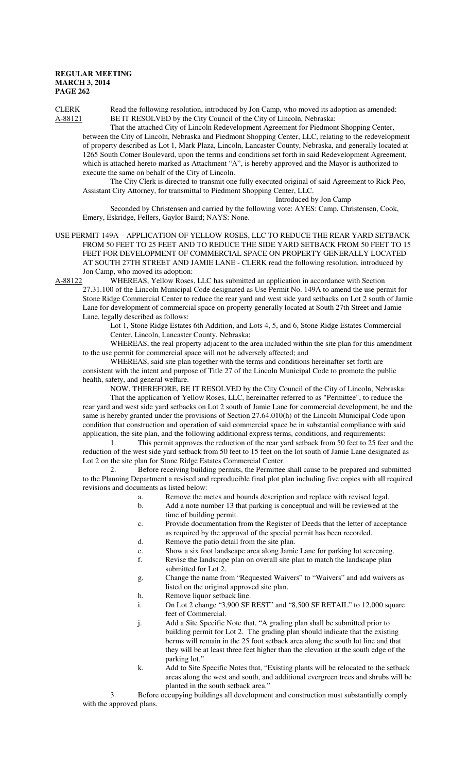CLERK Read the following resolution, introduced by Jon Camp, who moved its adoption as amended: A-88121 BE IT RESOLVED by the City Council of the City of Lincoln, Nebraska:

That the attached City of Lincoln Redevelopment Agreement for Piedmont Shopping Center, between the City of Lincoln, Nebraska and Piedmont Shopping Center, LLC, relating to the redevelopment of property described as Lot 1, Mark Plaza, Lincoln, Lancaster County, Nebraska, and generally located at 1265 South Cotner Boulevard, upon the terms and conditions set forth in said Redevelopment Agreement, which is attached hereto marked as Attachment "A", is hereby approved and the Mayor is authorized to execute the same on behalf of the City of Lincoln.

The City Clerk is directed to transmit one fully executed original of said Agreement to Rick Peo, Assistant City Attorney, for transmittal to Piedmont Shopping Center, LLC.

Introduced by Jon Camp

Seconded by Christensen and carried by the following vote: AYES: Camp, Christensen, Cook, Emery, Eskridge, Fellers, Gaylor Baird; NAYS: None.

USE PERMIT 149A – APPLICATION OF YELLOW ROSES, LLC TO REDUCE THE REAR YARD SETBACK FROM 50 FEET TO 25 FEET AND TO REDUCE THE SIDE YARD SETBACK FROM 50 FEET TO 15 FEET FOR DEVELOPMENT OF COMMERCIAL SPACE ON PROPERTY GENERALLY LOCATED AT SOUTH 27TH STREET AND JAMIE LANE - CLERK read the following resolution, introduced by Jon Camp, who moved its adoption:

A-88122 WHEREAS, Yellow Roses, LLC has submitted an application in accordance with Section 27.31.100 of the Lincoln Municipal Code designated as Use Permit No. 149A to amend the use permit for Stone Ridge Commercial Center to reduce the rear yard and west side yard setbacks on Lot 2 south of Jamie Lane for development of commercial space on property generally located at South 27th Street and Jamie Lane, legally described as follows:

> Lot 1, Stone Ridge Estates 6th Addition, and Lots 4, 5, and 6, Stone Ridge Estates Commercial Center, Lincoln, Lancaster County, Nebraska;

WHEREAS, the real property adjacent to the area included within the site plan for this amendment to the use permit for commercial space will not be adversely affected; and

WHEREAS, said site plan together with the terms and conditions hereinafter set forth are consistent with the intent and purpose of Title 27 of the Lincoln Municipal Code to promote the public health, safety, and general welfare.

NOW, THEREFORE, BE IT RESOLVED by the City Council of the City of Lincoln, Nebraska:

That the application of Yellow Roses, LLC, hereinafter referred to as "Permittee", to reduce the rear yard and west side yard setbacks on Lot 2 south of Jamie Lane for commercial development, be and the same is hereby granted under the provisions of Section 27.64.010(h) of the Lincoln Municipal Code upon condition that construction and operation of said commercial space be in substantial compliance with said application, the site plan, and the following additional express terms, conditions, and requirements:

1. This permit approves the reduction of the rear yard setback from 50 feet to 25 feet and the reduction of the west side yard setback from 50 feet to 15 feet on the lot south of Jamie Lane designated as Lot 2 on the site plan for Stone Ridge Estates Commercial Center.

2. Before receiving building permits, the Permittee shall cause to be prepared and submitted to the Planning Department a revised and reproducible final plot plan including five copies with all required revisions and documents as listed below:

- a. Remove the metes and bounds description and replace with revised legal.
- b. Add a note number 13 that parking is conceptual and will be reviewed at the time of building permit.
- c. Provide documentation from the Register of Deeds that the letter of acceptance as required by the approval of the special permit has been recorded.
- d. Remove the patio detail from the site plan.
- e. Show a six foot landscape area along Jamie Lane for parking lot screening.
- f. Revise the landscape plan on overall site plan to match the landscape plan submitted for Lot 2.
- g. Change the name from "Requested Waivers" to "Waivers" and add waivers as listed on the original approved site plan.
- h. Remove liquor setback line.
- i. On Lot 2 change "3,900 SF REST" and "8,500 SF RETAIL" to 12,000 square feet of Commercial.
- j. Add a Site Specific Note that, "A grading plan shall be submitted prior to building permit for Lot 2. The grading plan should indicate that the existing berms will remain in the 25 foot setback area along the south lot line and that they will be at least three feet higher than the elevation at the south edge of the parking lot."
- k. Add to Site Specific Notes that, "Existing plants will be relocated to the setback areas along the west and south, and additional evergreen trees and shrubs will be planted in the south setback area."

3. Before occupying buildings all development and construction must substantially comply with the approved plans.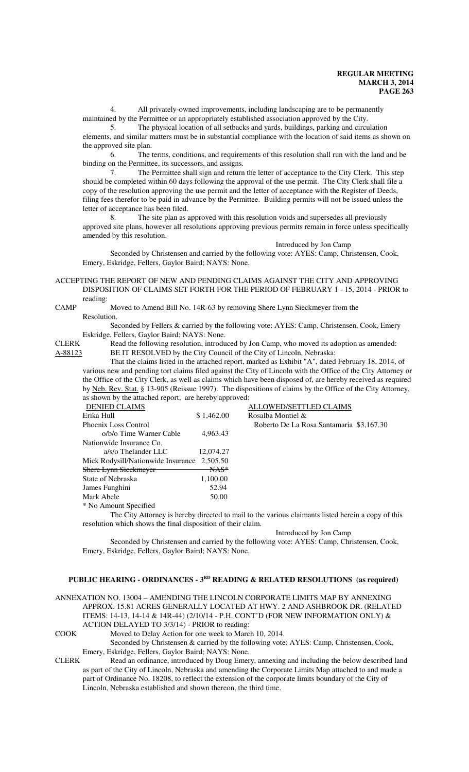4. All privately-owned improvements, including landscaping are to be permanently maintained by the Permittee or an appropriately established association approved by the City.

5. The physical location of all setbacks and yards, buildings, parking and circulation elements, and similar matters must be in substantial compliance with the location of said items as shown on the approved site plan.

6. The terms, conditions, and requirements of this resolution shall run with the land and be binding on the Permittee, its successors, and assigns.

7. The Permittee shall sign and return the letter of acceptance to the City Clerk. This step should be completed within 60 days following the approval of the use permit. The City Clerk shall file a copy of the resolution approving the use permit and the letter of acceptance with the Register of Deeds, filing fees therefor to be paid in advance by the Permittee. Building permits will not be issued unless the letter of acceptance has been filed.

8. The site plan as approved with this resolution voids and supersedes all previously approved site plans, however all resolutions approving previous permits remain in force unless specifically amended by this resolution.

Introduced by Jon Camp

Seconded by Christensen and carried by the following vote: AYES: Camp, Christensen, Cook, Emery, Eskridge, Fellers, Gaylor Baird; NAYS: None.

#### ACCEPTING THE REPORT OF NEW AND PENDING CLAIMS AGAINST THE CITY AND APPROVING DISPOSITION OF CLAIMS SET FORTH FOR THE PERIOD OF FEBRUARY 1 - 15, 2014 - PRIOR to reading:

CAMP Moved to Amend Bill No. 14R-63 by removing Shere Lynn Sieckmeyer from the Resolution.

Seconded by Fellers & carried by the following vote: AYES: Camp, Christensen, Cook, Emery Eskridge, Fellers, Gaylor Baird; NAYS: None.

CLERK Read the following resolution, introduced by Jon Camp, who moved its adoption as amended: A-88123 BE IT RESOLVED by the City Council of the City of Lincoln, Nebraska:

That the claims listed in the attached report, marked as Exhibit "A", dated February 18, 2014, of various new and pending tort claims filed against the City of Lincoln with the Office of the City Attorney or the Office of the City Clerk, as well as claims which have been disposed of, are hereby received as required by Neb. Rev. Stat. § 13-905 (Reissue 1997). The dispositions of claims by the Office of the City Attorney, as shown by the attached report, are hereby approved:

| <b>DENIED CLAIMS</b>               |                           | <b>ALLOWED/SETTLED CLAIMS</b>            |
|------------------------------------|---------------------------|------------------------------------------|
| Erika Hull                         | \$1,462.00                | Rosalba Montiel &                        |
| Phoenix Loss Control               |                           | Roberto De La Rosa Santamaria \$3,167.30 |
| o/b/o Time Warner Cable            | 4,963.43                  |                                          |
| Nationwide Insurance Co.           |                           |                                          |
| $a/s$ The lander LLC               | 12,074.27                 |                                          |
| Mick Rodysill/Nationwide Insurance | 2,505.50                  |                                          |
| <b>Shere Lynn Sieekmeyer</b>       | $\overline{\text{MAS}}^*$ |                                          |
| State of Nebraska                  | 1,100.00                  |                                          |
| James Funghini                     | 52.94                     |                                          |
| Mark Abele                         | 50.00                     |                                          |
| * No Amount Specified              |                           |                                          |
|                                    |                           |                                          |

The City Attorney is hereby directed to mail to the various claimants listed herein a copy of this resolution which shows the final disposition of their claim.

#### Introduced by Jon Camp

Seconded by Christensen and carried by the following vote: AYES: Camp, Christensen, Cook, Emery, Eskridge, Fellers, Gaylor Baird; NAYS: None.

#### PUBLIC HEARING - ORDINANCES - 3<sup>RD</sup> READING & RELATED RESOLUTIONS (as required)

ANNEXATION NO. 13004 – AMENDING THE LINCOLN CORPORATE LIMITS MAP BY ANNEXING APPROX. 15.81 ACRES GENERALLY LOCATED AT HWY. 2 AND ASHBROOK DR. (RELATED ITEMS: 14-13, 14-14 & 14R-44) (2/10/14 - P.H. CONT'D (FOR NEW INFORMATION ONLY) & ACTION DELAYED TO 3/3/14) - PRIOR to reading:

COOK Moved to Delay Action for one week to March 10, 2014.

Seconded by Christensen & carried by the following vote: AYES: Camp, Christensen, Cook, Emery, Eskridge, Fellers, Gaylor Baird; NAYS: None.

CLERK Read an ordinance, introduced by Doug Emery, annexing and including the below described land as part of the City of Lincoln, Nebraska and amending the Corporate Limits Map attached to and made a part of Ordinance No. 18208, to reflect the extension of the corporate limits boundary of the City of Lincoln, Nebraska established and shown thereon, the third time.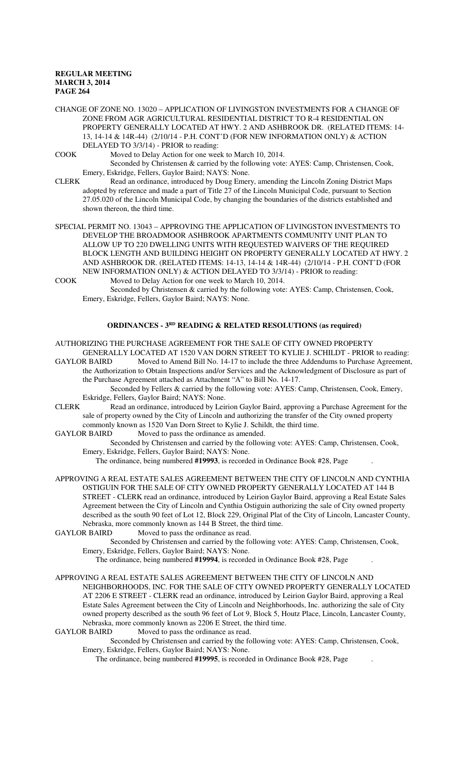CHANGE OF ZONE NO. 13020 – APPLICATION OF LIVINGSTON INVESTMENTS FOR A CHANGE OF ZONE FROM AGR AGRICULTURAL RESIDENTIAL DISTRICT TO R-4 RESIDENTIAL ON PROPERTY GENERALLY LOCATED AT HWY. 2 AND ASHBROOK DR. (RELATED ITEMS: 14- 13, 14-14 & 14R-44) (2/10/14 - P.H. CONT'D (FOR NEW INFORMATION ONLY) & ACTION DELAYED TO 3/3/14) - PRIOR to reading:

COOK Moved to Delay Action for one week to March 10, 2014.

Seconded by Christensen & carried by the following vote: AYES: Camp, Christensen, Cook, Emery, Eskridge, Fellers, Gaylor Baird; NAYS: None.

CLERK Read an ordinance, introduced by Doug Emery, amending the Lincoln Zoning District Maps adopted by reference and made a part of Title 27 of the Lincoln Municipal Code, pursuant to Section 27.05.020 of the Lincoln Municipal Code, by changing the boundaries of the districts established and shown thereon, the third time.

SPECIAL PERMIT NO. 13043 – APPROVING THE APPLICATION OF LIVINGSTON INVESTMENTS TO DEVELOP THE BROADMOOR ASHBROOK APARTMENTS COMMUNITY UNIT PLAN TO ALLOW UP TO 220 DWELLING UNITS WITH REQUESTED WAIVERS OF THE REQUIRED BLOCK LENGTH AND BUILDING HEIGHT ON PROPERTY GENERALLY LOCATED AT HWY. 2 AND ASHBROOK DR. (RELATED ITEMS: 14-13, 14-14 & 14R-44) (2/10/14 - P.H. CONT'D (FOR NEW INFORMATION ONLY) & ACTION DELAYED TO 3/3/14) - PRIOR to reading:

COOK Moved to Delay Action for one week to March 10, 2014.

Seconded by Christensen & carried by the following vote: AYES: Camp, Christensen, Cook, Emery, Eskridge, Fellers, Gaylor Baird; NAYS: None.

# **ORDINANCES - 3RD READING & RELATED RESOLUTIONS (as required)**

AUTHORIZING THE PURCHASE AGREEMENT FOR THE SALE OF CITY OWNED PROPERTY

GENERALLY LOCATED AT 1520 VAN DORN STREET TO KYLIE J. SCHILDT - PRIOR to reading:

GAYLOR BAIRD Moved to Amend Bill No. 14-17 to include the three Addendums to Purchase Agreement, the Authorization to Obtain Inspections and/or Services and the Acknowledgment of Disclosure as part of the Purchase Agreement attached as Attachment "A" to Bill No. 14-17.

Seconded by Fellers & carried by the following vote: AYES: Camp, Christensen, Cook, Emery, Eskridge, Fellers, Gaylor Baird; NAYS: None.

CLERK Read an ordinance, introduced by Leirion Gaylor Baird, approving a Purchase Agreement for the sale of property owned by the City of Lincoln and authorizing the transfer of the City owned property commonly known as 1520 Van Dorn Street to Kylie J. Schildt, the third time.<br>GAYLOR BAIRD Moved to pass the ordinance as amended.

Moved to pass the ordinance as amended.

Seconded by Christensen and carried by the following vote: AYES: Camp, Christensen, Cook, Emery, Eskridge, Fellers, Gaylor Baird; NAYS: None.

The ordinance, being numbered **#19993**, is recorded in Ordinance Book #28, Page .

APPROVING A REAL ESTATE SALES AGREEMENT BETWEEN THE CITY OF LINCOLN AND CYNTHIA OSTIGUIN FOR THE SALE OF CITY OWNED PROPERTY GENERALLY LOCATED AT 144 B STREET - CLERK read an ordinance, introduced by Leirion Gaylor Baird, approving a Real Estate Sales Agreement between the City of Lincoln and Cynthia Ostiguin authorizing the sale of City owned property described as the south 90 feet of Lot 12, Block 229, Original Plat of the City of Lincoln, Lancaster County, Nebraska, more commonly known as 144 B Street, the third time.

GAYLOR BAIRD Moved to pass the ordinance as read.

Seconded by Christensen and carried by the following vote: AYES: Camp, Christensen, Cook, Emery, Eskridge, Fellers, Gaylor Baird; NAYS: None.

The ordinance, being numbered **#19994**, is recorded in Ordinance Book #28, Page .

APPROVING A REAL ESTATE SALES AGREEMENT BETWEEN THE CITY OF LINCOLN AND NEIGHBORHOODS, INC. FOR THE SALE OF CITY OWNED PROPERTY GENERALLY LOCATED AT 2206 E STREET - CLERK read an ordinance, introduced by Leirion Gaylor Baird, approving a Real Estate Sales Agreement between the City of Lincoln and Neighborhoods, Inc. authorizing the sale of City owned property described as the south 96 feet of Lot 9, Block 5, Houtz Place, Lincoln, Lancaster County, Nebraska, more commonly known as 2206 E Street, the third time.

GAYLOR BAIRD Moved to pass the ordinance as read.

Seconded by Christensen and carried by the following vote: AYES: Camp, Christensen, Cook, Emery, Eskridge, Fellers, Gaylor Baird; NAYS: None.

The ordinance, being numbered **#19995**, is recorded in Ordinance Book #28, Page .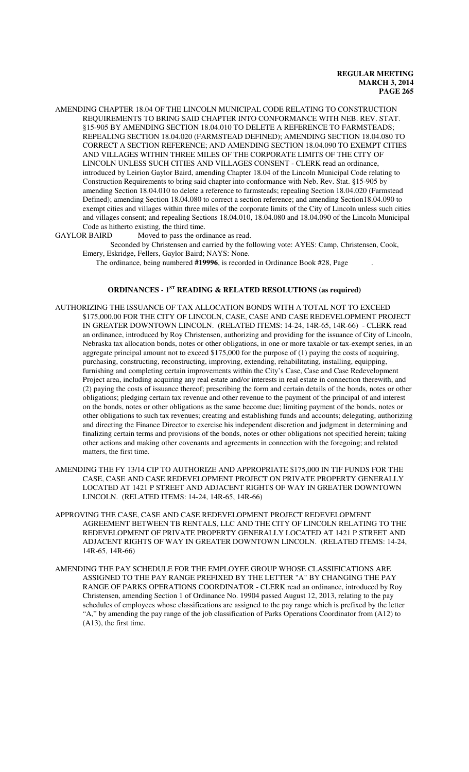AMENDING CHAPTER 18.04 OF THE LINCOLN MUNICIPAL CODE RELATING TO CONSTRUCTION REQUIREMENTS TO BRING SAID CHAPTER INTO CONFORMANCE WITH NEB. REV. STAT. §15-905 BY AMENDING SECTION 18.04.010 TO DELETE A REFERENCE TO FARMSTEADS; REPEALING SECTION 18.04.020 (FARMSTEAD DEFINED); AMENDING SECTION 18.04.080 TO CORRECT A SECTION REFERENCE; AND AMENDING SECTION 18.04.090 TO EXEMPT CITIES AND VILLAGES WITHIN THREE MILES OF THE CORPORATE LIMITS OF THE CITY OF LINCOLN UNLESS SUCH CITIES AND VILLAGES CONSENT - CLERK read an ordinance, introduced by Leirion Gaylor Baird, amending Chapter 18.04 of the Lincoln Municipal Code relating to Construction Requirements to bring said chapter into conformance with Neb. Rev. Stat. §15-905 by amending Section 18.04.010 to delete a reference to farmsteads; repealing Section 18.04.020 (Farmstead Defined); amending Section 18.04.080 to correct a section reference; and amending Section18.04.090 to exempt cities and villages within three miles of the corporate limits of the City of Lincoln unless such cities and villages consent; and repealing Sections 18.04.010, 18.04.080 and 18.04.090 of the Lincoln Municipal Code as hitherto existing, the third time.

GAYLOR BAIRD Moved to pass the ordinance as read.

Seconded by Christensen and carried by the following vote: AYES: Camp, Christensen, Cook, Emery, Eskridge, Fellers, Gaylor Baird; NAYS: None.

The ordinance, being numbered **#19996**, is recorded in Ordinance Book #28, Page .

# **ORDINANCES - 1ST READING & RELATED RESOLUTIONS (as required)**

- AUTHORIZING THE ISSUANCE OF TAX ALLOCATION BONDS WITH A TOTAL NOT TO EXCEED \$175,000.00 FOR THE CITY OF LINCOLN, CASE, CASE AND CASE REDEVELOPMENT PROJECT IN GREATER DOWNTOWN LINCOLN. (RELATED ITEMS: 14-24, 14R-65, 14R-66) - CLERK read an ordinance, introduced by Roy Christensen, authorizing and providing for the issuance of City of Lincoln, Nebraska tax allocation bonds, notes or other obligations, in one or more taxable or tax-exempt series, in an aggregate principal amount not to exceed \$175,000 for the purpose of (1) paying the costs of acquiring, purchasing, constructing, reconstructing, improving, extending, rehabilitating, installing, equipping, furnishing and completing certain improvements within the City's Case, Case and Case Redevelopment Project area, including acquiring any real estate and/or interests in real estate in connection therewith, and (2) paying the costs of issuance thereof; prescribing the form and certain details of the bonds, notes or other obligations; pledging certain tax revenue and other revenue to the payment of the principal of and interest on the bonds, notes or other obligations as the same become due; limiting payment of the bonds, notes or other obligations to such tax revenues; creating and establishing funds and accounts; delegating, authorizing and directing the Finance Director to exercise his independent discretion and judgment in determining and finalizing certain terms and provisions of the bonds, notes or other obligations not specified herein; taking other actions and making other covenants and agreements in connection with the foregoing; and related matters, the first time.
- AMENDING THE FY 13/14 CIP TO AUTHORIZE AND APPROPRIATE \$175,000 IN TIF FUNDS FOR THE CASE, CASE AND CASE REDEVELOPMENT PROJECT ON PRIVATE PROPERTY GENERALLY LOCATED AT 1421 P STREET AND ADJACENT RIGHTS OF WAY IN GREATER DOWNTOWN LINCOLN. (RELATED ITEMS: 14-24, 14R-65, 14R-66)
- APPROVING THE CASE, CASE AND CASE REDEVELOPMENT PROJECT REDEVELOPMENT AGREEMENT BETWEEN TB RENTALS, LLC AND THE CITY OF LINCOLN RELATING TO THE REDEVELOPMENT OF PRIVATE PROPERTY GENERALLY LOCATED AT 1421 P STREET AND ADJACENT RIGHTS OF WAY IN GREATER DOWNTOWN LINCOLN. (RELATED ITEMS: 14-24, 14R-65, 14R-66)
- AMENDING THE PAY SCHEDULE FOR THE EMPLOYEE GROUP WHOSE CLASSIFICATIONS ARE ASSIGNED TO THE PAY RANGE PREFIXED BY THE LETTER "A" BY CHANGING THE PAY RANGE OF PARKS OPERATIONS COORDINATOR - CLERK read an ordinance, introduced by Roy Christensen, amending Section 1 of Ordinance No. 19904 passed August 12, 2013, relating to the pay schedules of employees whose classifications are assigned to the pay range which is prefixed by the letter "A," by amending the pay range of the job classification of Parks Operations Coordinator from (A12) to (A13), the first time.